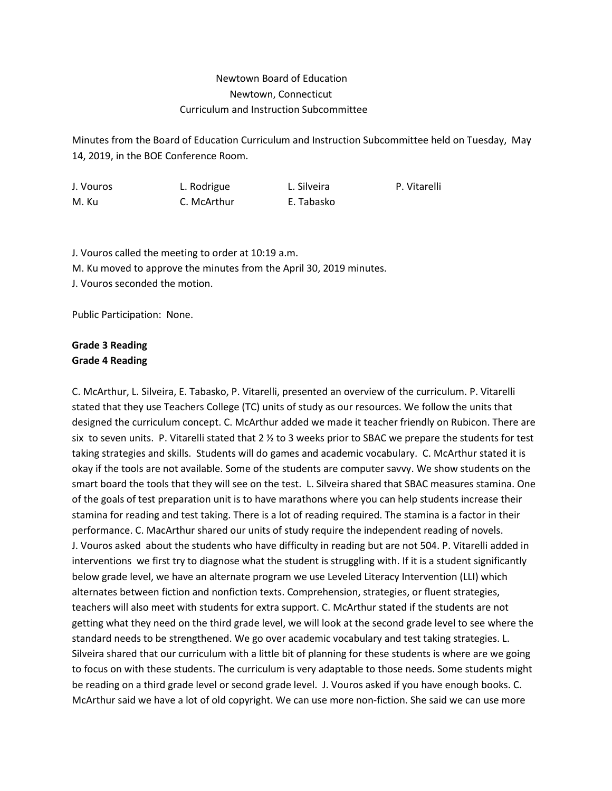## Newtown Board of Education Newtown, Connecticut Curriculum and Instruction Subcommittee

Minutes from the Board of Education Curriculum and Instruction Subcommittee held on Tuesday, May 14, 2019, in the BOE Conference Room.

J. Vouros L. Rodrigue L. Silveira P. Vitarelli M. Ku C. McArthur E. Tabasko

J. Vouros called the meeting to order at 10:19 a.m. M. Ku moved to approve the minutes from the April 30, 2019 minutes. J. Vouros seconded the motion.

Public Participation: None.

## **Grade 3 Reading Grade 4 Reading**

C. McArthur, L. Silveira, E. Tabasko, P. Vitarelli, presented an overview of the curriculum. P. Vitarelli stated that they use Teachers College (TC) units of study as our resources. We follow the units that designed the curriculum concept. C. McArthur added we made it teacher friendly on Rubicon. There are six to seven units. P. Vitarelli stated that 2 ½ to 3 weeks prior to SBAC we prepare the students for test taking strategies and skills. Students will do games and academic vocabulary. C. McArthur stated it is okay if the tools are not available. Some of the students are computer savvy. We show students on the smart board the tools that they will see on the test. L. Silveira shared that SBAC measures stamina. One of the goals of test preparation unit is to have marathons where you can help students increase their stamina for reading and test taking. There is a lot of reading required. The stamina is a factor in their performance. C. MacArthur shared our units of study require the independent reading of novels. J. Vouros asked about the students who have difficulty in reading but are not 504. P. Vitarelli added in interventions we first try to diagnose what the student is struggling with. If it is a student significantly below grade level, we have an alternate program we use Leveled Literacy Intervention (LLI) which alternates between fiction and nonfiction texts. Comprehension, strategies, or fluent strategies, teachers will also meet with students for extra support. C. McArthur stated if the students are not getting what they need on the third grade level, we will look at the second grade level to see where the standard needs to be strengthened. We go over academic vocabulary and test taking strategies. L. Silveira shared that our curriculum with a little bit of planning for these students is where are we going to focus on with these students. The curriculum is very adaptable to those needs. Some students might be reading on a third grade level or second grade level. J. Vouros asked if you have enough books. C. McArthur said we have a lot of old copyright. We can use more non-fiction. She said we can use more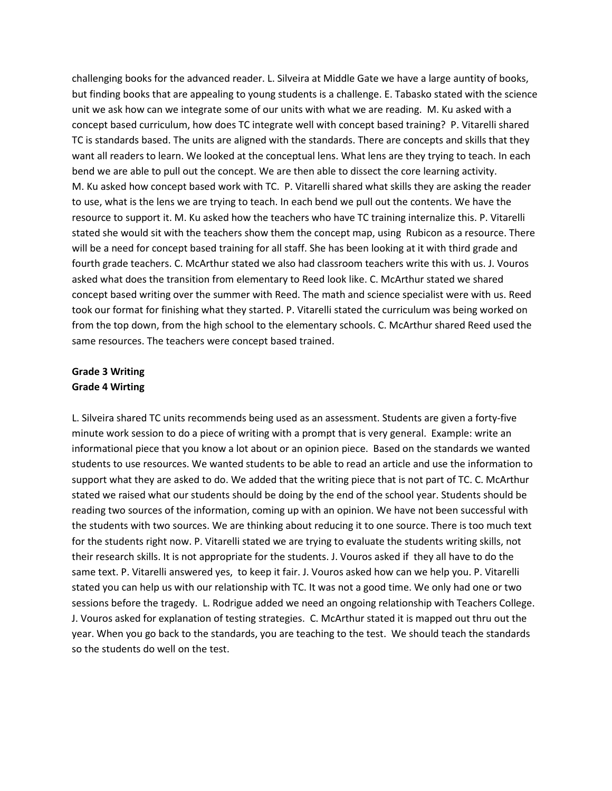challenging books for the advanced reader. L. Silveira at Middle Gate we have a large auntity of books, but finding books that are appealing to young students is a challenge. E. Tabasko stated with the science unit we ask how can we integrate some of our units with what we are reading. M. Ku asked with a concept based curriculum, how does TC integrate well with concept based training? P. Vitarelli shared TC is standards based. The units are aligned with the standards. There are concepts and skills that they want all readers to learn. We looked at the conceptual lens. What lens are they trying to teach. In each bend we are able to pull out the concept. We are then able to dissect the core learning activity. M. Ku asked how concept based work with TC. P. Vitarelli shared what skills they are asking the reader to use, what is the lens we are trying to teach. In each bend we pull out the contents. We have the resource to support it. M. Ku asked how the teachers who have TC training internalize this. P. Vitarelli stated she would sit with the teachers show them the concept map, using Rubicon as a resource. There will be a need for concept based training for all staff. She has been looking at it with third grade and fourth grade teachers. C. McArthur stated we also had classroom teachers write this with us. J. Vouros asked what does the transition from elementary to Reed look like. C. McArthur stated we shared concept based writing over the summer with Reed. The math and science specialist were with us. Reed took our format for finishing what they started. P. Vitarelli stated the curriculum was being worked on from the top down, from the high school to the elementary schools. C. McArthur shared Reed used the same resources. The teachers were concept based trained.

## **Grade 3 Writing Grade 4 Wirting**

L. Silveira shared TC units recommends being used as an assessment. Students are given a forty-five minute work session to do a piece of writing with a prompt that is very general. Example: write an informational piece that you know a lot about or an opinion piece. Based on the standards we wanted students to use resources. We wanted students to be able to read an article and use the information to support what they are asked to do. We added that the writing piece that is not part of TC. C. McArthur stated we raised what our students should be doing by the end of the school year. Students should be reading two sources of the information, coming up with an opinion. We have not been successful with the students with two sources. We are thinking about reducing it to one source. There is too much text for the students right now. P. Vitarelli stated we are trying to evaluate the students writing skills, not their research skills. It is not appropriate for the students. J. Vouros asked if they all have to do the same text. P. Vitarelli answered yes, to keep it fair. J. Vouros asked how can we help you. P. Vitarelli stated you can help us with our relationship with TC. It was not a good time. We only had one or two sessions before the tragedy. L. Rodrigue added we need an ongoing relationship with Teachers College. J. Vouros asked for explanation of testing strategies. C. McArthur stated it is mapped out thru out the year. When you go back to the standards, you are teaching to the test. We should teach the standards so the students do well on the test.